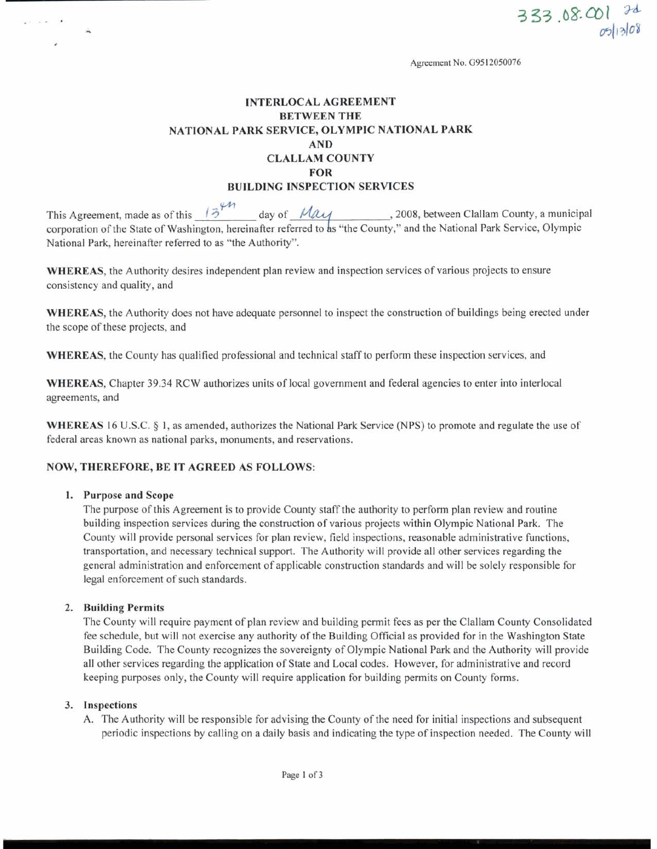**Agreement No. G95 12050076** 

# INTERLOCAL AGREEMENT BETWEEN THE NATIONAL PARK SERVICE, OLYMPIC NATIONAL PARK AND CLALLAM COUNTY FOR BUILDING INSPECTION SERVICES

This Agreement, made as of this  $\frac{13^{20}}{200}$  day of  $\frac{124}{200}$ , 2008, between Clallam County, a municipal corporation of the State of Washington, hereinafter referred to as "the County," and the National Park Service, Olympic National Park, hereinafter referred to as "the Authority".

WHEREAS, the Authority desires independent plan review and inspection services of various projects to ensure consistency and quality, and

WHEREAS, the Authority does not have adequate personnel to inspect the construction of buildings being erected under the scope of these projects, and

WHEREAS, the County has qualified professional and technical staff to perform these inspection services, and

WHEREAS, Chapter 39.34 RCW authorizes units of local government and federal agencies to enter into interlocal agreements, and

WHEREAS 16 U.S.C. **<sup>4</sup>1,** as amended, authorizes the National **Park** Service (NPS) to promote and regulate the use of federal areas known as national parks, monuments, and reservations.

#### NOW, THEREFORE, BE IT AGREED AS FOLLOWS:

#### 1. Purpose and Scope

**COLLAGE** 

The purpose of this Agreement is to provide County staff the authority to perform plan review and routine building inspection services during the construction of various projects within Olympic National Park. The County will provide personal services for plan review, field inspections, reasonable administrative functions, transportation, and necessary technical support. The Authority will provide all other services regarding the general administration and enforcement of applicable construction standards and will be solely responsible for legal enforcement of such standards.

#### 2. Building Permits

The County will require payment of plan review and building permit fees as per the Clallam County Consolidated fee schedule, but will not exercise any authority of the Building Official as provided for in the Washington State Building Code. The County recognizes the sovereignty of Olympic National Park and the Authority will provide all other services regarding the application of State and Local codes. However, for administrative and record keeping purposes only, the County will require application for building permits on County forms.

#### 3. Inspections

A. The Authority will be responsible for advising the County of the need for initial inspections and subsequent periodic inspections by calling on a daily basis and indicating the type of inspection needed. The County will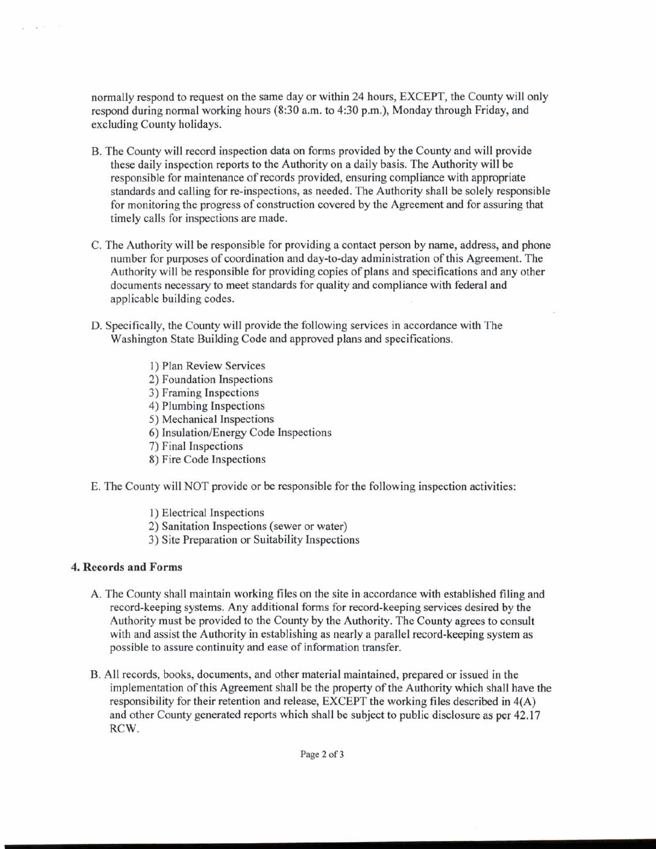normally respond to request on the same day or within 24 hours, EXCEPT, the County will only respond during normal working hours (8:30 a.m. to 4:30 p.m.), Monday through Friday, and excluding County holidays.

- B. The County will record inspection data on forms provided by the County and will provide these daily inspection reports to the Authority on a daily basis. The Authority will be responsible for maintenance of records provided, ensuring compliance with appropriate standards and calling for re-inspections, as needed. The Authority shall be solely responsible for monitoring the progress of construction covered by the Agreement and for assuring that timely calls for inspections are made.
- C. The Authority will be responsible for providing a contact person by name, address, and phone number for purposes of coordination and day-to-day administration of this Agreement. The Authority will be responsible for providing copies of plans and specifications and any other documents necessary to meet standards for quality and compliance with federal and applicable building codes.
- D. Specifically, the County will provide the following services in accordance with The Washington State Building Code and approved plans and specifications.
	- 1) Plan Review Services
	- 2) Foundation Inspections
	- 3) Framing Inspections
	- 4) Plumbing Inspections
	- 5) Mechanical Inspections
	- 6) Insulation/Energy Code Inspections
	- 7) Final Inspections
	- 8) Fire Code Inspections
- E. The County will NOT provide or be responsible for the following inspection activities:
	- 1) Electrical Inspections
	- 2) Sanitation Inspections (sewer or water)
	- 3) Site Preparation or Suitability Inspections

# **4. Records and Forms**

 $\mathcal{N}_{\mathbf{d}}$  ,  $\mathcal{N}_{\mathbf{d}}$ 

- A. The County shall maintain working files on the site in accordance with established filing and record-keeping systems. Any additional forms for record-keeping services desired by the Authority must be provided to the County by the Authority. The County agrees to consult with and assist the Authority in establishing as nearly a parallel record-keeping system as possible to assure continuity and ease of information transfer.
- B. All records, books, documents, and other material maintained, prepared or issued in the implementation of this Agreement shall be the property of the Authority which shall have the responsibility for their retention and release, EXCEPT the working files described in 4(A) and other County generated reports which shall be subject to public disclosure as per 42.17 RCW.